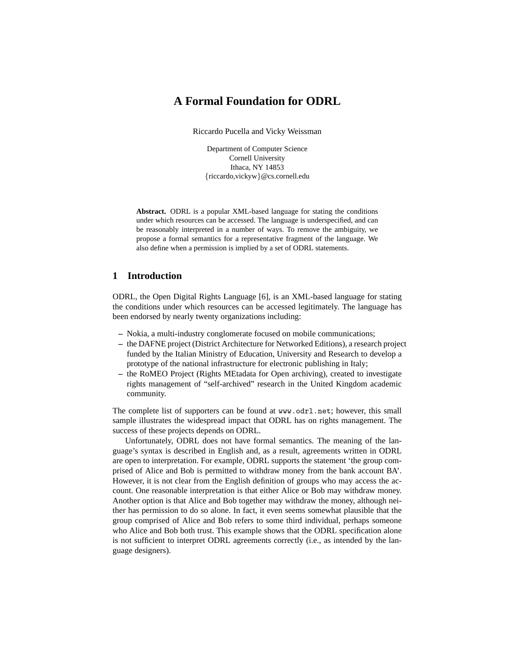# **A Formal Foundation for ODRL**

Riccardo Pucella and Vicky Weissman

Department of Computer Science Cornell University Ithaca, NY 14853 {riccardo,vickyw}@cs.cornell.edu

**Abstract.** ODRL is a popular XML-based language for stating the conditions under which resources can be accessed. The language is underspecified, and can be reasonably interpreted in a number of ways. To remove the ambiguity, we propose a formal semantics for a representative fragment of the language. We also define when a permission is implied by a set of ODRL statements.

## **1 Introduction**

ODRL, the Open Digital Rights Language [6], is an XML-based language for stating the conditions under which resources can be accessed legitimately. The language has been endorsed by nearly twenty organizations including:

- **–** Nokia, a multi-industry conglomerate focused on mobile communications;
- **–** the DAFNE project (District Architecture for Networked Editions), a research project funded by the Italian Ministry of Education, University and Research to develop a prototype of the national infrastructure for electronic publishing in Italy;
- **–** the RoMEO Project (Rights MEtadata for Open archiving), created to investigate rights management of "self-archived" research in the United Kingdom academic community.

The complete list of supporters can be found at www.odrl.net; however, this small sample illustrates the widespread impact that ODRL has on rights management. The success of these projects depends on ODRL.

Unfortunately, ODRL does not have formal semantics. The meaning of the language's syntax is described in English and, as a result, agreements written in ODRL are open to interpretation. For example, ODRL supports the statement 'the group comprised of Alice and Bob is permitted to withdraw money from the bank account BA'. However, it is not clear from the English definition of groups who may access the account. One reasonable interpretation is that either Alice or Bob may withdraw money. Another option is that Alice and Bob together may withdraw the money, although neither has permission to do so alone. In fact, it even seems somewhat plausible that the group comprised of Alice and Bob refers to some third individual, perhaps someone who Alice and Bob both trust. This example shows that the ODRL specification alone is not sufficient to interpret ODRL agreements correctly (i.e., as intended by the language designers).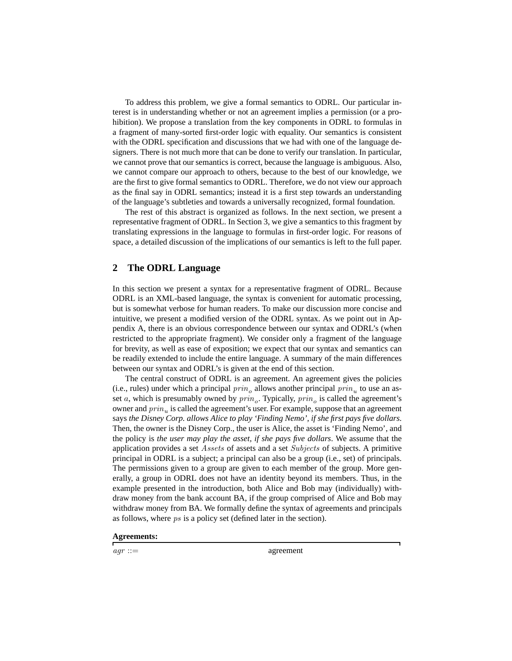To address this problem, we give a formal semantics to ODRL. Our particular interest is in understanding whether or not an agreement implies a permission (or a prohibition). We propose a translation from the key components in ODRL to formulas in a fragment of many-sorted first-order logic with equality. Our semantics is consistent with the ODRL specification and discussions that we had with one of the language designers. There is not much more that can be done to verify our translation. In particular, we cannot prove that our semantics is correct, because the language is ambiguous. Also, we cannot compare our approach to others, because to the best of our knowledge, we are the first to give formal semantics to ODRL. Therefore, we do not view our approach as the final say in ODRL semantics; instead it is a first step towards an understanding of the language's subtleties and towards a universally recognized, formal foundation.

The rest of this abstract is organized as follows. In the next section, we present a representative fragment of ODRL. In Section 3, we give a semantics to this fragment by translating expressions in the language to formulas in first-order logic. For reasons of space, a detailed discussion of the implications of our semantics is left to the full paper.

## **2 The ODRL Language**

In this section we present a syntax for a representative fragment of ODRL. Because ODRL is an XML-based language, the syntax is convenient for automatic processing, but is somewhat verbose for human readers. To make our discussion more concise and intuitive, we present a modified version of the ODRL syntax. As we point out in Appendix A, there is an obvious correspondence between our syntax and ODRL's (when restricted to the appropriate fragment). We consider only a fragment of the language for brevity, as well as ease of exposition; we expect that our syntax and semantics can be readily extended to include the entire language. A summary of the main differences between our syntax and ODRL's is given at the end of this section.

The central construct of ODRL is an agreement. An agreement gives the policies (i.e., rules) under which a principal  $prin<sub>o</sub>$  allows another principal  $prin<sub>u</sub>$  to use an asset *a*, which is presumably owned by  $\text{prin}_o$ . Typically,  $\text{prin}_o$  is called the agreement's owner and  $prin_u$  is called the agreement's user. For example, suppose that an agreement says *the Disney Corp. allows Alice to play 'Finding Nemo', if she first pays five dollars*. Then, the owner is the Disney Corp., the user is Alice, the asset is 'Finding Nemo', and the policy is *the user may play the asset, if she pays five dollars*. We assume that the application provides a set Assets of assets and a set Subjects of subjects. A primitive principal in ODRL is a subject; a principal can also be a group (i.e., set) of principals. The permissions given to a group are given to each member of the group. More generally, a group in ODRL does not have an identity beyond its members. Thus, in the example presented in the introduction, both Alice and Bob may (individually) withdraw money from the bank account BA, if the group comprised of Alice and Bob may withdraw money from BA. We formally define the syntax of agreements and principals as follows, where ps is a policy set (defined later in the section).

**Agreements:**

 $agr ::=$  agreement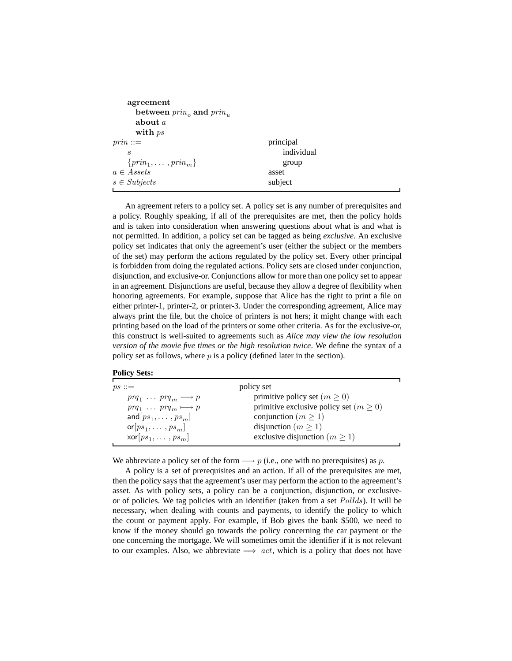| agreement                    |            |  |
|------------------------------|------------|--|
| between $prino$ and $prinn$  |            |  |
| about $a$                    |            |  |
| with $ps$                    |            |  |
| $prin ::=$                   | principal  |  |
| S                            | individual |  |
| $\{prin_1, \ldots, prin_m\}$ | group      |  |
| $a \in Assets$               | asset      |  |
| $s \in Subjects$             | subject    |  |
|                              |            |  |

An agreement refers to a policy set. A policy set is any number of prerequisites and a policy. Roughly speaking, if all of the prerequisites are met, then the policy holds and is taken into consideration when answering questions about what is and what is not permitted. In addition, a policy set can be tagged as being *exclusive*. An exclusive policy set indicates that only the agreement's user (either the subject or the members of the set) may perform the actions regulated by the policy set. Every other principal is forbidden from doing the regulated actions. Policy sets are closed under conjunction, disjunction, and exclusive-or. Conjunctions allow for more than one policy set to appear in an agreement. Disjunctions are useful, because they allow a degree of flexibility when honoring agreements. For example, suppose that Alice has the right to print a file on either printer-1, printer-2, or printer-3. Under the corresponding agreement, Alice may always print the file, but the choice of printers is not hers; it might change with each printing based on the load of the printers or some other criteria. As for the exclusive-or, this construct is well-suited to agreements such as *Alice may view the low resolution version of the movie five times or the high resolution twice*. We define the syntax of a policy set as follows, where  $p$  is a policy (defined later in the section).

| <b>Policy Sets:</b> |  |
|---------------------|--|
|---------------------|--|

| $ps ::=$                               | policy set                                 |
|----------------------------------------|--------------------------------------------|
| $prq_1 \ldots prq_m \longrightarrow p$ | primitive policy set $(m \geq 0)$          |
| $prq_1 \ldots prq_m \longmapsto p$     | primitive exclusive policy set $(m \ge 0)$ |
| and $[ps_1, \ldots, ps_m]$             | conjunction ( $m \geq 1$ )                 |
| $\mathsf{or}[ps_1,\ldots,ps_m]$        | disjunction ( $m \geq 1$ )                 |
| $\mathsf{xor}[ps_1, \ldots, ps_m]$     | exclusive disjunction ( $m \ge 1$ )        |
|                                        |                                            |

We abbreviate a policy set of the form  $\longrightarrow p$  (i.e., one with no prerequisites) as p.

A policy is a set of prerequisites and an action. If all of the prerequisites are met, then the policy says that the agreement's user may perform the action to the agreement's asset. As with policy sets, a policy can be a conjunction, disjunction, or exclusiveor of policies. We tag policies with an identifier (taken from a set PolIds). It will be necessary, when dealing with counts and payments, to identify the policy to which the count or payment apply. For example, if Bob gives the bank \$500, we need to know if the money should go towards the policy concerning the car payment or the one concerning the mortgage. We will sometimes omit the identifier if it is not relevant to our examples. Also, we abbreviate  $\implies$  act, which is a policy that does not have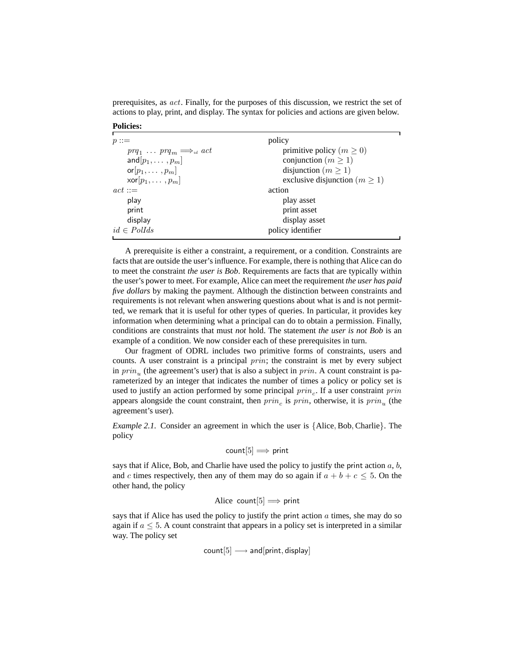prerequisites, as act. Finally, for the purposes of this discussion, we restrict the set of actions to play, print, and display. The syntax for policies and actions are given below.

**Policies:**

| $p ::=$                                       | policy                              |
|-----------------------------------------------|-------------------------------------|
| $prq_1 \ldots prq_m \Longrightarrow_{id} act$ | primitive policy ( $m \geq 0$ )     |
| and $[p_1, \ldots, p_m]$                      | conjunction ( $m \ge 1$ )           |
| or $[p_1, \ldots, p_m]$                       | disjunction ( $m \ge 1$ )           |
| $\mathsf{xor}[p_1, \ldots, p_m]$              | exclusive disjunction ( $m \ge 1$ ) |
| $act ::=$                                     | action                              |
| play                                          | play asset                          |
| print                                         | print asset                         |
| display                                       | display asset                       |
| $id \in Pollds$                               | policy identifier                   |
|                                               |                                     |

A prerequisite is either a constraint, a requirement, or a condition. Constraints are facts that are outside the user's influence. For example, there is nothing that Alice can do to meet the constraint *the user is Bob*. Requirements are facts that are typically within the user's power to meet. For example, Alice can meet the requirement *the user has paid five dollars* by making the payment. Although the distinction between constraints and requirements is not relevant when answering questions about what is and is not permitted, we remark that it is useful for other types of queries. In particular, it provides key information when determining what a principal can do to obtain a permission. Finally, conditions are constraints that must *not* hold. The statement *the user is not Bob* is an example of a condition. We now consider each of these prerequisites in turn.

Our fragment of ODRL includes two primitive forms of constraints, users and counts. A user constraint is a principal *prin*; the constraint is met by every subject in  $prin<sub>u</sub>$  (the agreement's user) that is also a subject in  $prin$ . A count constraint is parameterized by an integer that indicates the number of times a policy or policy set is used to justify an action performed by some principal  $prin_c$ . If a user constraint  $prin$ appears alongside the count constraint, then  $prin_c$  is  $prin$ , otherwise, it is  $prin_u$  (the agreement's user).

*Example 2.1.* Consider an agreement in which the user is {Alice, Bob, Charlie}. The policy

$$
\text{count}[5] \Longrightarrow \text{print}
$$

says that if Alice, Bob, and Charlie have used the policy to justify the print action  $a, b$ , and c times respectively, then any of them may do so again if  $a + b + c \leq 5$ . On the other hand, the policy

Alice 
$$
count[5] \implies print
$$

says that if Alice has used the policy to justify the print action  $\alpha$  times, she may do so again if  $a \leq 5$ . A count constraint that appears in a policy set is interpreted in a similar way. The policy set

$$
count[5] \longrightarrow and[print, display]
$$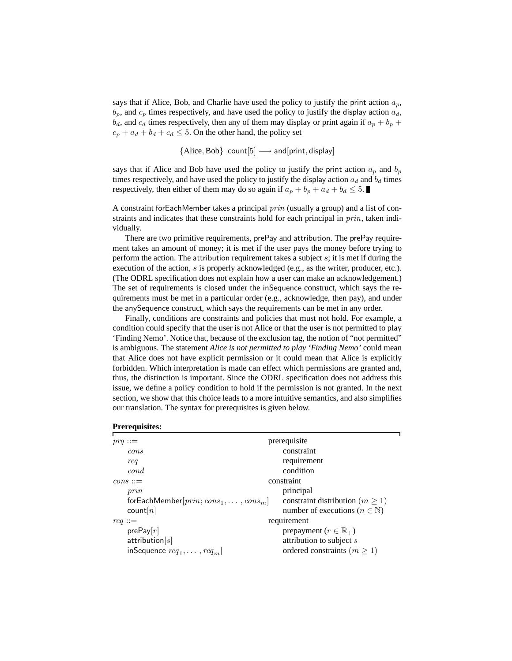says that if Alice, Bob, and Charlie have used the policy to justify the print action  $a_p$ ,  $b_p$ , and  $c_p$  times respectively, and have used the policy to justify the display action  $a_d$ ,  $b_d$ , and  $c_d$  times respectively, then any of them may display or print again if  $a_p + b_p +$  $c_p + a_d + b_d + c_d \leq 5$ . On the other hand, the policy set

 ${ \{ \text{Alice}, \text{Bob} \} }$  count $[5] \longrightarrow \text{and} [ \text{print}, \text{display}]$ 

says that if Alice and Bob have used the policy to justify the print action  $a_p$  and  $b_p$ times respectively, and have used the policy to justify the display action  $a_d$  and  $b_d$  times respectively, then either of them may do so again if  $a_p + b_p + a_d + b_d \leq 5$ .

A constraint forEachMember takes a principal prin (usually a group) and a list of constraints and indicates that these constraints hold for each principal in *prin*, taken individually.

There are two primitive requirements, prePay and attribution. The prePay requirement takes an amount of money; it is met if the user pays the money before trying to perform the action. The attribution requirement takes a subject s; it is met if during the execution of the action, s is properly acknowledged (e.g., as the writer, producer, etc.). (The ODRL specification does not explain how a user can make an acknowledgement.) The set of requirements is closed under the inSequence construct, which says the requirements must be met in a particular order (e.g., acknowledge, then pay), and under the anySequence construct, which says the requirements can be met in any order.

Finally, conditions are constraints and policies that must not hold. For example, a condition could specify that the user is not Alice or that the user is not permitted to play 'Finding Nemo'. Notice that, because of the exclusion tag, the notion of "not permitted" is ambiguous. The statement *Alice is not permitted to play 'Finding Nemo'* could mean that Alice does not have explicit permission or it could mean that Alice is explicitly forbidden. Which interpretation is made can effect which permissions are granted and, thus, the distinction is important. Since the ODRL specification does not address this issue, we define a policy condition to hold if the permission is not granted. In the next section, we show that this choice leads to a more intuitive semantics, and also simplifies our translation. The syntax for prerequisites is given below.

| prerequisite                                |
|---------------------------------------------|
| constraint                                  |
| requirement                                 |
| condition                                   |
| constraint                                  |
| principal                                   |
| constraint distribution ( $m \geq 1$ )      |
| number of executions ( $n \in \mathbb{N}$ ) |
| requirement                                 |
| prepayment ( $r \in \mathbb{R}_+$ )         |
| attribution to subject s                    |
| ordered constraints $(m \ge 1)$             |
|                                             |

**Prerequisites:**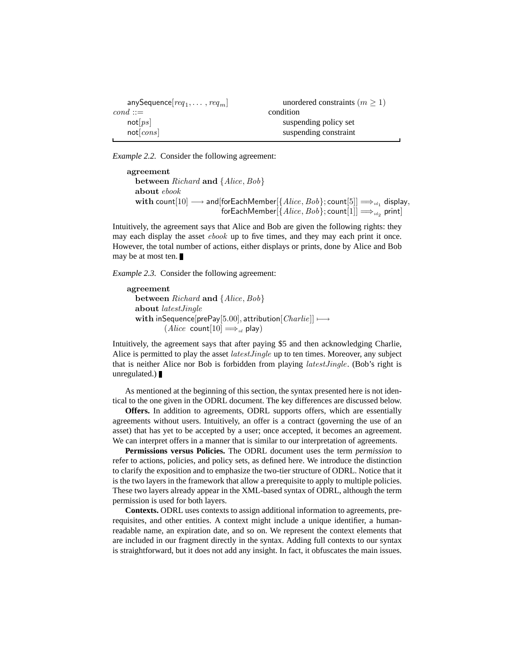| anySequence[ $req_1, \ldots, req_m$ ] | unordered constraints $(m \ge 1)$ |  |
|---------------------------------------|-----------------------------------|--|
| $cond ::=$                            | condition                         |  |
| not[ps]                               | suspending policy set             |  |
| not[cons]                             | suspending constraint             |  |
|                                       |                                   |  |

*Example 2.2.* Consider the following agreement:

agreement between Richard and {Alice, Bob} about ebook  $\textbf{with count}[10] \longrightarrow \textsf{and}[\textsf{forEachMember}[\{Alice, Bob\}; \textsf{count}[5]] \Longrightarrow_{\textit{id}_1} \textsf{display},$  $\overline{\textsf{forEachMember}}[\{Alice, Bob\}; \textsf{count}[1]] \Longrightarrow_{\scriptstyle{\textit{id}_2}} \textsf{print}]$ 

Intuitively, the agreement says that Alice and Bob are given the following rights: they may each display the asset ebook up to five times, and they may each print it once. However, the total number of actions, either displays or prints, done by Alice and Bob may be at most ten.

*Example 2.3.* Consider the following agreement:

agreement between Richard and {Alice, Bob} about latestJingle with inSequence[prePay[5.00], attribution $[Charlie]] \longmapsto$  $(Alice count[10] \Longrightarrow_{id} play)$ 

Intuitively, the agreement says that after paying \$5 and then acknowledging Charlie, Alice is permitted to play the asset *latest Jingle* up to ten times. Moreover, any subject that is neither Alice nor Bob is forbidden from playing latestJingle. (Bob's right is unregulated.) $\blacksquare$ 

As mentioned at the beginning of this section, the syntax presented here is not identical to the one given in the ODRL document. The key differences are discussed below.

**Offers.** In addition to agreements, ODRL supports offers, which are essentially agreements without users. Intuitively, an offer is a contract (governing the use of an asset) that has yet to be accepted by a user; once accepted, it becomes an agreement. We can interpret offers in a manner that is similar to our interpretation of agreements.

**Permissions versus Policies.** The ODRL document uses the term *permission* to refer to actions, policies, and policy sets, as defined here. We introduce the distinction to clarify the exposition and to emphasize the two-tier structure of ODRL. Notice that it is the two layers in the framework that allow a prerequisite to apply to multiple policies. These two layers already appear in the XML-based syntax of ODRL, although the term permission is used for both layers.

**Contexts.** ODRL uses contexts to assign additional information to agreements, prerequisites, and other entities. A context might include a unique identifier, a humanreadable name, an expiration date, and so on. We represent the context elements that are included in our fragment directly in the syntax. Adding full contexts to our syntax is straightforward, but it does not add any insight. In fact, it obfuscates the main issues.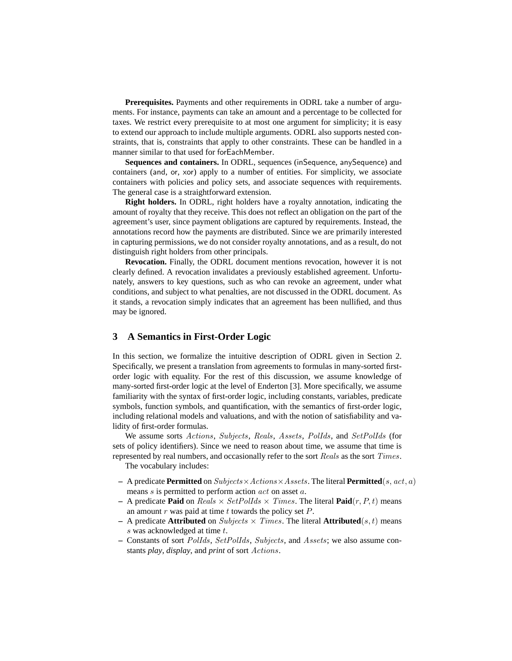**Prerequisites.** Payments and other requirements in ODRL take a number of arguments. For instance, payments can take an amount and a percentage to be collected for taxes. We restrict every prerequisite to at most one argument for simplicity; it is easy to extend our approach to include multiple arguments. ODRL also supports nested constraints, that is, constraints that apply to other constraints. These can be handled in a manner similar to that used for forEachMember.

**Sequences and containers.** In ODRL, sequences (inSequence, anySequence) and containers (and, or, xor) apply to a number of entities. For simplicity, we associate containers with policies and policy sets, and associate sequences with requirements. The general case is a straightforward extension.

**Right holders.** In ODRL, right holders have a royalty annotation, indicating the amount of royalty that they receive. This does not reflect an obligation on the part of the agreement's user, since payment obligations are captured by requirements. Instead, the annotations record how the payments are distributed. Since we are primarily interested in capturing permissions, we do not consider royalty annotations, and as a result, do not distinguish right holders from other principals.

**Revocation.** Finally, the ODRL document mentions revocation, however it is not clearly defined. A revocation invalidates a previously established agreement. Unfortunately, answers to key questions, such as who can revoke an agreement, under what conditions, and subject to what penalties, are not discussed in the ODRL document. As it stands, a revocation simply indicates that an agreement has been nullified, and thus may be ignored.

## **3 A Semantics in First-Order Logic**

In this section, we formalize the intuitive description of ODRL given in Section 2. Specifically, we present a translation from agreements to formulas in many-sorted firstorder logic with equality. For the rest of this discussion, we assume knowledge of many-sorted first-order logic at the level of Enderton [3]. More specifically, we assume familiarity with the syntax of first-order logic, including constants, variables, predicate symbols, function symbols, and quantification, with the semantics of first-order logic, including relational models and valuations, and with the notion of satisfiability and validity of first-order formulas.

We assume sorts Actions, Subjects, Reals, Assets, PolIds, and SetPolIds (for sets of policy identifiers). Since we need to reason about time, we assume that time is represented by real numbers, and occasionally refer to the sort Reals as the sort Times.

The vocabulary includes:

- **–** A predicate **Permitted** on Subjects×Actions×Assets. The literal **Permitted**(s, act, a) means s is permitted to perform action act on asset a.
- $-$  A predicate **Paid** on Reals  $\times$  SetPolIds  $\times$  Times. The literal **Paid** $(r, P, t)$  means an amount r was paid at time t towards the policy set  $P$ .
- **–** A predicate **Attributed** on *Subjects*  $\times$  *Times*. The literal **Attributed**(*s, t*) means s was acknowledged at time t.
- **–** Constants of sort PolIds, SetPolIds, Subjects, and Assets; we also assume constants *play*, *display*, and *print* of sort Actions.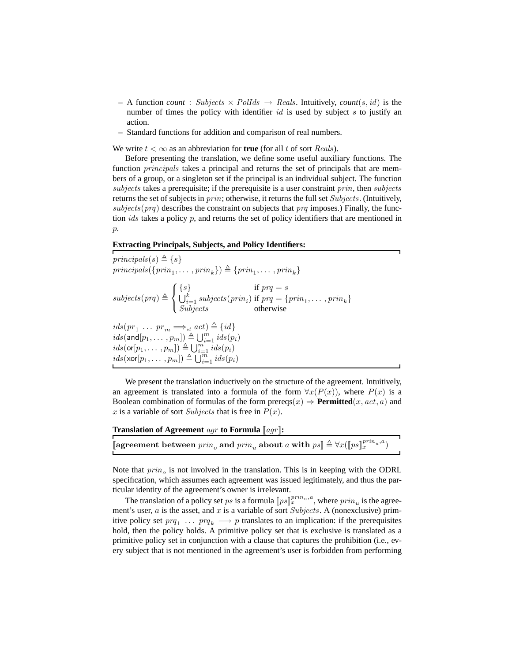- $-$  A function *count* : Subjects  $\times$  PolIds  $\rightarrow$  Reals. Intuitively, *count*(s, id) is the number of times the policy with identifier  $id$  is used by subject s to justify an action.
- **–** Standard functions for addition and comparison of real numbers.

We write  $t < \infty$  as an abbreviation for **true** (for all t of sort *Reals*).

Before presenting the translation, we define some useful auxiliary functions. The function principals takes a principal and returns the set of principals that are members of a group, or a singleton set if the principal is an individual subject. The function subjects takes a prerequisite; if the prerequisite is a user constraint  $prin$ , then subjects returns the set of subjects in  $prin$ ; otherwise, it returns the full set  $Subjects$ . (Intuitively, subjects (prq) describes the constraint on subjects that prq imposes.) Finally, the function *ids* takes a policy  $p$ , and returns the set of policy identifiers that are mentioned in  $p$ .

#### **Extracting Principals, Subjects, and Policy Identifiers:**

principals(s)  $\triangleq \{s\}$  $principals({\{prin_1, \ldots, prin_k\}}) \triangleq {\{prin_1, \ldots, prin_k\}}$  $subjects(prq) \triangleq$  $\sqrt{ }$ <sup>J</sup>  $\mathcal{L}$  $\{s\}$  if  $prq = s$  $\bigcup_{i=1}^{k} \textit{subjects}(\textit{prin}_i) \text{ if } \textit{prq} = \{\textit{prin}_1, \dots, \textit{prin}_k\}$ Subjects otherwise  $ids(pr_1 \ldots pr_m \Longrightarrow_{id} act) \triangleq \{id\}$  $ids(\text{and}[p_1, \ldots, p_m]) \triangleq \bigcup_{i=1}^mids(p_i)$  $ids($ **or** $[p_1, \ldots, p_m]) \triangleq \bigcup_{i=1}^mids(p_i)$  $ids(\text{xor}[p_1, \ldots, p_m]) \triangleq \bigcup_{i=1}^mids(p_i)$ 

We present the translation inductively on the structure of the agreement. Intuitively, an agreement is translated into a formula of the form  $\forall x(P(x))$ , where  $P(x)$  is a Boolean combination of formulas of the form prereqs $(x) \Rightarrow$  **Permitted** $(x, act, a)$  and x is a variable of sort Subjects that is free in  $P(x)$ .

| <b>Translation of Agreement</b> agr to Formula $\llbracket agr \rrbracket$ :                                                              |  |
|-------------------------------------------------------------------------------------------------------------------------------------------|--|
|                                                                                                                                           |  |
| <b>a</b> greement between $\text{prin}_o$ and $\text{prin}_u$ about a with $ps \rVert \triangleq \forall x (\rVert ps \rVert^{prin}_x)^a$ |  |

Note that  $prin<sub>o</sub>$  is not involved in the translation. This is in keeping with the ODRL specification, which assumes each agreement was issued legitimately, and thus the particular identity of the agreement's owner is irrelevant.

The translation of a policy set ps is a formula  $[ps]_x^{prin_u,a}$ , where  $prin_u$  is the agreement's user, a is the asset, and x is a variable of sort Subjects. A (nonexclusive) primitive policy set  $prq_1 \ldots prq_k \longrightarrow p$  translates to an implication: if the prerequisites hold, then the policy holds. A primitive policy set that is exclusive is translated as a primitive policy set in conjunction with a clause that captures the prohibition (i.e., every subject that is not mentioned in the agreement's user is forbidden from performing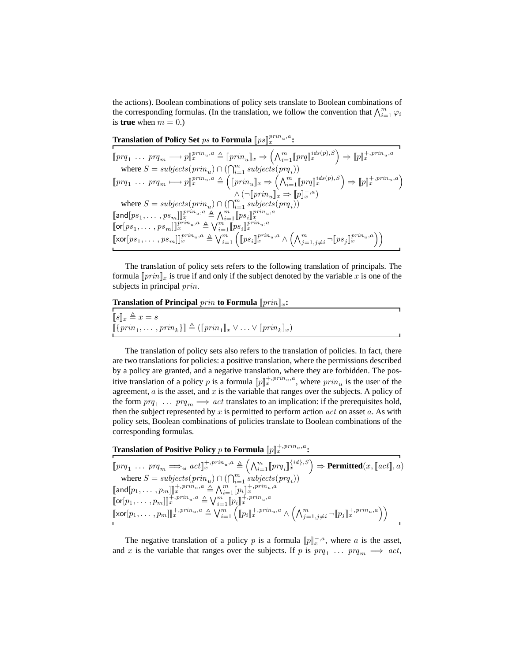the actions). Boolean combinations of policy sets translate to Boolean combinations of the corresponding formulas. (In the translation, we follow the convention that  $\bigwedge_{i=1}^{m} \varphi_i$ is **true** when  $m = 0$ .)

**Translation of Policy Set**  $ps$  **to Formula**  $[\![ps]\!]_x^{prin_u,a}$  :

 $[\![prq_1 \ \ldots \ prq_m \longrightarrow p]\!]_x^{prin_u,a} \triangleq [\![prin_u]\!]_x \Rightarrow \left(\bigwedge_{i=1}^m [\![prq]\!]_x^{ids(p),S}\right) \Rightarrow [\![p]\!]_x^{+,prin_u,a}$ where  $S = \textit{subjects}(\textit{prin}_u) \cap (\bigcap_{i=1}^m \textit{subjects}(\textit{prq}_i))$  $[\![prq_1 \ \ldots \ prq_m \longmapsto p]\!]_x^{prin_u,a} \triangleq (\llbracket \prin_u \rrbracket_x \Rightarrow \left( \bigwedge_{i=1}^m [\![prq]\!]_x^{ids(p),S} \right) \Rightarrow [\![p]\!]_x^{+,prin_u,a}$  $\wedge (\neg [\mathit{prin}_u]_x \Rightarrow [\![p]\!]_x^{-,a})$ where  $S = \textit{subjects}(\textit{prin}_u) \cap (\bigcap_{i=1}^m \textit{subjects}(\textit{prq}_i))$  $[\![\mathsf{and}[ps_1, \ldots, \allowbreak ps_m]\!] \!]^{prin_u, a}_x \triangleq \textstyle \bigwedge_{i=1}^m [\![ps_i]\!]^{prin_u, a}_x$  $[\![\mathsf{or}[ps_1, \ldots, ps_m]\!]_{x}^{prin_u, a} \triangleq \bigvee_{i=1}^{m} [\![ps_i]\!]_{x}^{prin_u, a}$  $[\![\textsf{xor}[ps_1, \ldots, ps_m]\!] \!]_x^{prin_u, a} \triangleq \bigvee_{i=1}^m \Big( [\![\textsf{ps}_i]\!]_x^{prin_u, a} \wedge \Big( \bigwedge_{j=1, j\neq i}^m \neg [\![\textsf{ps}_j]\!]_x^{prin_u, a} \Big) \Big)$ 

The translation of policy sets refers to the following translation of principals. The formula  $[prin]_x$  is true if and only if the subject denoted by the variable x is one of the subjects in principal *prin*.

**Translation of Principal** prin **to Formula**  $[prin]_x$ **:** 

 $[s]_x \triangleq x = s$  $[\![\{ \operatorname{prin}_1, \ldots, \operatorname{prin}_k \}] \triangleq ([\![ \operatorname{prin}_1 ]\!]_x \vee \ldots \vee [\![ \operatorname{prin}_k ]\!]_x)$ 

The translation of policy sets also refers to the translation of policies. In fact, there are two translations for policies: a positive translation, where the permissions described by a policy are granted, and a negative translation, where they are forbidden. The positive translation of a policy p is a formula  $[\![p]\!]_x^{+,prin_u,a}$ , where  $prin_u$  is the user of the agreement,  $a$  is the asset, and  $x$  is the variable that ranges over the subjects. A policy of the form  $prq_1 \ldots prq_m \Longrightarrow act$  translates to an implication: if the prerequisites hold, then the subject represented by  $x$  is permitted to perform action  $act$  on asset  $a$ . As with policy sets, Boolean combinations of policies translate to Boolean combinations of the corresponding formulas.

Translation of Positive Policy  $p$  to Formula  $[\![p]\!]_x^{+,prin_u,a}$ :

 $\llbracket prq_1 \ \ldots \ prq_m \Longrightarrow_{\scriptscriptstyle id} act \rrbracket^{\pm,prin_u,a}_{x} \triangleq \left(\bigwedge_{i=1}^m \llbracket prq_i \rrbracket_{x}^{\{id\},S} \right) \Rightarrow \textbf{Permitted}(x,\llbracket act \rrbracket,a)$ where  $S = \textit{subjects}(\textit{prin}_u) \cap (\bigcap_{i=1}^m \textit{subjects}(\textit{prq}_i))$  $\begin{array}{l} [\![\mathsf{and}[p_1,\dots,p_m]]\!]_x^{+,prin_u,a}\triangleq {\textstyle\bigwedge_{i=1}^m}\llbracket p_i \rrbracket_x^{+,prin_u,a} \\ \lbrack\!\!\lbrack \mathsf{or}[p_1,\dots,p_m]\rrbracket_x^{+,prin_u,a}\triangleq {\textstyle\bigvee_{i=1}^m}\llbracket p_i \rrbracket_x^{+,prin_u,a} \end{array}$  $\llbracket \text{xor}[p_1, \ldots, p_m] \rrbracket_x^{+, prin_u, a} \triangleq \bigvee_{i=1}^m \left( \llbracket p_i \rrbracket_x^{+, prin_u, a} \wedge \left( \bigwedge_{j=1, j\neq i}^m \neg \llbracket p_j \rrbracket_x^{+, prin_u, a} \right) \right)$ 

The negative translation of a policy p is a formula  $[\![p]\!]_x^{-,a}$ , where a is the asset, and x is the variable that ranges over the subjects. If p is  $prq_1 \dots prq_m \implies act$ ,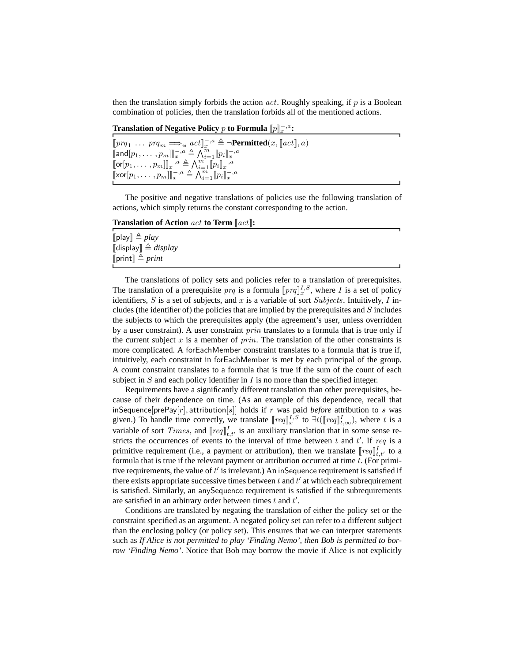then the translation simply forbids the action  $act$ . Roughly speaking, if p is a Boolean combination of policies, then the translation forbids all of the mentioned actions.

**Translation of Negative Policy**  $p$  **to Formula**  $[\![p]\!]_{x}^{−,a}$ **:** 

| $[\![prq_1 \ \ldots \ prq_m \Longrightarrow_{_{id}} act]\!]_{x}^{-,a} \triangleq \neg \text{Permitted}(x, [\![act]\!], a)$ |
|----------------------------------------------------------------------------------------------------------------------------|
| $[\![\textsf{and}[p_1,\ldots,p_m]\!]_{x}^{-,a} \triangleq \bigwedge_{i=1}^{m} [p_i]_{x}^{-,a}$                             |
| $[\![\mathsf{or}[p_1,\ldots,p_m]\!]_{x}^{-,a} \triangleq \bigwedge_{i=1}^{m} [p_i]_{x}^{-,a}$                              |
| $[\![\text{xor}[p_1, \ldots, p_m]\!] \!]_x^{-,a} \triangleq \bigwedge_{i=1}^m [ \![p_i]\!]_x^{-,a}$                        |

The positive and negative translations of policies use the following translation of actions, which simply returns the constant corresponding to the action.

**Translation of Action** act **to Term** [[act]]**:**

 $[$ [play]  $\triangleq$  *play*  $\llbracket$ display $\rrbracket \triangleq$  *display*  $\lceil$ print $\rceil \triangleq print$ 

The translations of policy sets and policies refer to a translation of prerequisites. The translation of a prerequisite  $prq$  is a formula  $[prq]_x^{I,S}$ , where I is a set of policy identifiers, S is a set of subjects, and x is a variable of sort Subjects. Intuitively, I includes (the identifier of) the policies that are implied by the prerequisites and  $S$  includes the subjects to which the prerequisites apply (the agreement's user, unless overridden by a user constraint). A user constraint *prin* translates to a formula that is true only if the current subject  $x$  is a member of  $prin$ . The translation of the other constraints is more complicated. A forEachMember constraint translates to a formula that is true if, intuitively, each constraint in forEachMember is met by each principal of the group. A count constraint translates to a formula that is true if the sum of the count of each subject in  $S$  and each policy identifier in  $I$  is no more than the specified integer.

Requirements have a significantly different translation than other prerequisites, because of their dependence on time. (As an example of this dependence, recall that inSequence[prePay[r], attribution[s]] holds if r was paid *before* attribution to s was given.) To handle time correctly, we translate  $[req]_x^{I,S}$  to  $\exists t ([req]_{t,\infty}^I)$ , where t is a variable of sort *Times*, and  $[req]_{t,t'}^I$  is an auxiliary translation that in some sense restricts the occurrences of events to the interval of time between t and t'. If req is a primitive requirement (i.e., a payment or attribution), then we translate  $[req]_{t,t'}^I$  to a formula that is true if the relevant payment or attribution occurred at time  $t$ . (For primitive requirements, the value of  $t'$  is irrelevant.) An inSequence requirement is satisfied if there exists appropriate successive times between  $t$  and  $t'$  at which each subrequirement is satisfied. Similarly, an anySequence requirement is satisfied if the subrequirements are satisfied in an arbitrary order between times  $t$  and  $t'$ .

Conditions are translated by negating the translation of either the policy set or the constraint specified as an argument. A negated policy set can refer to a different subject than the enclosing policy (or policy set). This ensures that we can interpret statements such as *If Alice is not permitted to play 'Finding Nemo', then Bob is permitted to borrow 'Finding Nemo'*. Notice that Bob may borrow the movie if Alice is not explicitly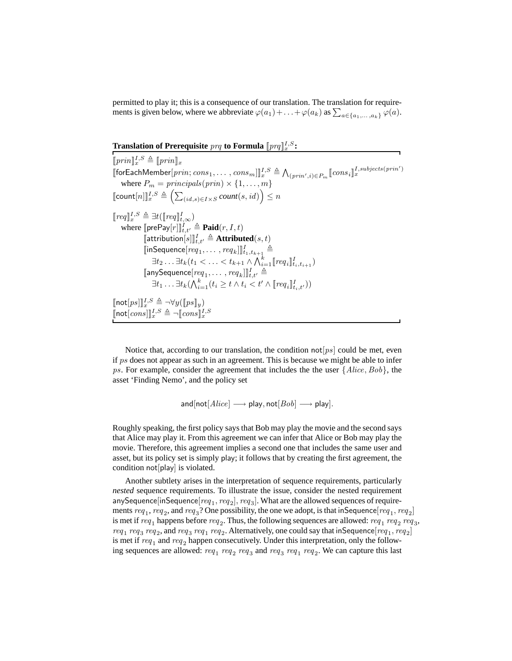permitted to play it; this is a consequence of our translation. The translation for requirements is given below, where we abbreviate  $\varphi(a_1) + \ldots + \varphi(a_k)$  as  $\sum_{a \in \{a_1, \ldots, a_k\}} \varphi(a)$ .

**Translation of Prerequisite**  $prq$  **to Formula**  $[prq]_x^{I,S}$ :

 $[\![prin]\!]_x^{I,S}\triangleq [\![prin]\!]_x$  $\llbracket \text{for} \textsf{EachMember}[prin; cons_1, \ldots, cons_m] \rrbracket_x^{I, S} \triangleq \bigwedge_{(prin', i) \in P_m} [\textit{cons}_i]_x^{I, subjects(prin')}$ where  $P_m = \text{principals}(\text{prin}) \times \{1, \ldots, m\}$  $\llbracket \mathsf{count}[n] \rrbracket_x^{I,S} \triangleq \Big( \sum_{(id,s) \in I \times S} count(s, id) \Big) \leq n$  $[\![\mathit{req}]\!]_x^{I,S} \triangleq \exists t (\llbracket \mathit{req} \rrbracket_{t,\infty}^{I})$ where  $[\![ \mathsf{prePay}[r] ]\!]_{t,t'}^I \triangleq \mathbf{Paid}(r,I,t)$  $\llbracket \mathsf{attribution}[s] \rrbracket_{t,t'} \triangleq \mathbf{Attributed}(s, t)$  $\llbracket \mathsf{inSequence}[req_1, \ldots, \mathit{req}_k] \rrbracket_{t_1, t_{k+1}}^I \triangleq$  $\exists t_{2} \ldots \exists t_{k} (t_{1} < \ldots < t_{k+1} \land \bigwedge_{i=1}^{k} [\text{req}_{i}]_{t_{i}, t_{i+1}}^{I})$  $[\![\mathsf{anySequence}[req_1, \ldots, \mathit{req}_k]\!]_{t,t'}^I \triangleq$  $\exists t_1 \ldots \exists t_k (\bigwedge_{i=1}^k (t_i \geq t \wedge t_i < t' \wedge [req_i]_{t_i,t'}^I))$  $[\![\mathsf{not}[ps]]\!]_x^{I,S} \triangleq \neg \forall y (\llbracket ps \rrbracket_y)$  $[\![\mathsf{not}[cons]]\!]_x^{I,S} \triangleq \neg [\![cons]\!]_x^{I,S}$ 

Notice that, according to our translation, the condition not  $[ps]$  could be met, even if ps does not appear as such in an agreement. This is because we might be able to infer ps. For example, consider the agreement that includes the the user  $\{Alice, Bob\}$ , the asset 'Finding Nemo', and the policy set

$$
and [not [Alice] \longrightarrow play, not [Bob] \longrightarrow play].
$$

Roughly speaking, the first policy says that Bob may play the movie and the second says that Alice may play it. From this agreement we can infer that Alice or Bob may play the movie. Therefore, this agreement implies a second one that includes the same user and asset, but its policy set is simply play; it follows that by creating the first agreement, the condition not[play] is violated.

Another subtlety arises in the interpretation of sequence requirements, particularly *nested* sequence requirements. To illustrate the issue, consider the nested requirement anySequence[inSequence[ $req_1, req_2], req_3]$ . What are the allowed sequences of requirements  $req_1,req_2$ , and  $req_3$ ? One possibility, the one we adopt, is that inSequence $[req_1,req_2]$ is met if  $req_1$  happens before  $req_2$ . Thus, the following sequences are allowed:  $req_1$   $req_2$   $req_3$ ,  $req_1$   $req_3$   $req_2$ , and  $req_3$   $req_1$   $req_2$ . Alternatively, one could say that inSequence  $[req_1, req_2]$ is met if  $req_1$  and  $req_2$  happen consecutively. Under this interpretation, only the following sequences are allowed:  $req_1$   $req_2$   $req_3$  and  $req_3$   $req_1$   $req_2$ . We can capture this last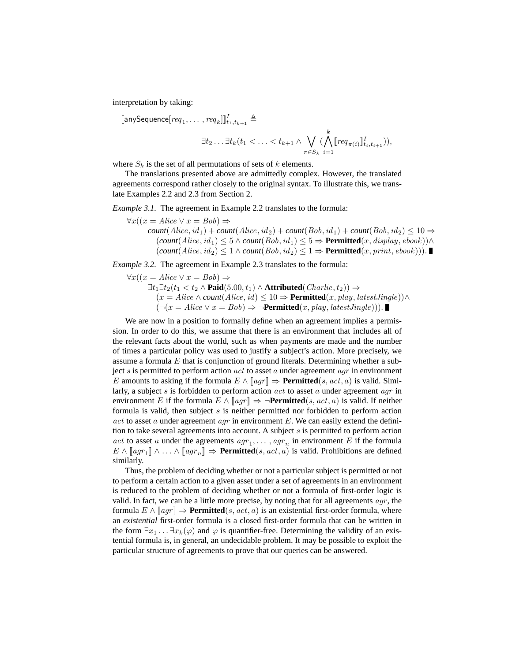interpretation by taking:

$$
\begin{aligned} \llbracket \text{anySequence}[req_1, \ldots, \textit{req}_k] \rrbracket^I_{t_1, t_{k+1}} &\triangleq \\ &\exists t_2 \ldots \exists t_k (t_1 < \ldots < t_{k+1} \land \bigvee_{\pi \in S_k} (\bigwedge_{i=1}^k \llbracket \textit{req}_{\pi(i)} \rrbracket^I_{t_i, t_{i+1}})), \end{aligned}
$$

where  $S_k$  is the set of all permutations of sets of k elements.

The translations presented above are admittedly complex. However, the translated agreements correspond rather closely to the original syntax. To illustrate this, we translate Examples 2.2 and 2.3 from Section 2.

*Example 3.1.* The agreement in Example 2.2 translates to the formula:

 $\forall x((x = Alice \lor x = Bob) \Rightarrow$ 

 $count(Alice, id_1) + count(Alice, id_2) + count(Bob, id_1) + count(Bob, id_2) \leq 10 \Rightarrow$  $(count(Alice, id_1) \leq 5 \land count(Bob, id_1) \leq 5 \Rightarrow$  **Permitted** $(x, display, ebook)$ )∧  $(count(Alice, id_2) \leq 1 \land count(Bob, id_2) \leq 1 \Rightarrow$  **Permitted** $(x, print, ebook))$ .

*Example 3.2.* The agreement in Example 2.3 translates to the formula:

 $\forall x((x = Alice \lor x = Bob) \Rightarrow$  $\exists t_1 \exists t_2(t_1 < t_2 \land \textbf{Paid}(5.00, t_1) \land \textbf{Attributed}(Charlie, t_2)) \Rightarrow$  $(x = Alice \land count(Alice, id) ≤ 10 \Rightarrow \text{Permitted}(x, play, latestJingle)) \land$  $(¬(x = Alice ∨ x = Bob) ⇒ ¬Permitted(x, play, latestJingle))).$ 

We are now in a position to formally define when an agreement implies a permission. In order to do this, we assume that there is an environment that includes all of the relevant facts about the world, such as when payments are made and the number of times a particular policy was used to justify a subject's action. More precisely, we assume a formula  $E$  that is conjunction of ground literals. Determining whether a subject s is permitted to perform action  $act$  to asset a under agreement  $agr$  in environment E amounts to asking if the formula  $E \wedge [aqr] \Rightarrow$  **Permitted**(s, act, a) is valid. Similarly, a subject s is forbidden to perform action  $act$  to asset a under agreement  $aqr$  in environment E if the formula  $E \wedge [aqr] \Rightarrow \neg$ **Permitted**(s, act, a) is valid. If neither formula is valid, then subject  $s$  is neither permitted nor forbidden to perform action act to asset a under agreement  $aqr$  in environment E. We can easily extend the definition to take several agreements into account. A subject  $s$  is permitted to perform action *act* to asset a under the agreements  $agr_1, \ldots, agr_n$  in environment E if the formula  $E \wedge [agr_1] \wedge \ldots \wedge [agr_n] \Rightarrow$  **Permitted**(*s*, *act*, *a*) is valid. Prohibitions are defined similarly.

Thus, the problem of deciding whether or not a particular subject is permitted or not to perform a certain action to a given asset under a set of agreements in an environment is reduced to the problem of deciding whether or not a formula of first-order logic is valid. In fact, we can be a little more precise, by noting that for all agreements  $agr$ , the formula  $E \wedge [aqr] \Rightarrow$  **Permitted**(s, act, a) is an existential first-order formula, where an *existential* first-order formula is a closed first-order formula that can be written in the form  $\exists x_1 \dots \exists x_k(\varphi)$  and  $\varphi$  is quantifier-free. Determining the validity of an existential formula is, in general, an undecidable problem. It may be possible to exploit the particular structure of agreements to prove that our queries can be answered.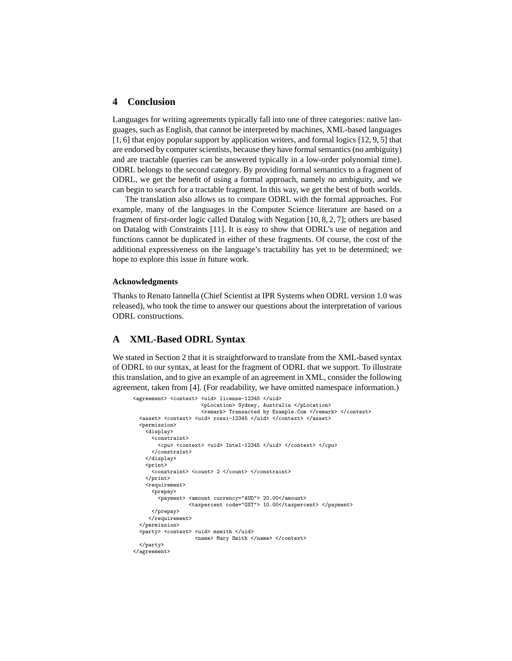## **4 Conclusion**

Languages for writing agreements typically fall into one of three categories: native languages, such as English, that cannot be interpreted by machines, XML-based languages [1, 6] that enjoy popular support by application writers, and formal logics [12, 9, 5] that are endorsed by computer scientists, because they have formal semantics (no ambiguity) and are tractable (queries can be answered typically in a low-order polynomial time). ODRL belongs to the second category. By providing formal semantics to a fragment of ODRL, we get the benefit of using a formal approach, namely no ambiguity, and we can begin to search for a tractable fragment. In this way, we get the best of both worlds.

The translation also allows us to compare ODRL with the formal approaches. For example, many of the languages in the Computer Science literature are based on a fragment of first-order logic called Datalog with Negation [10, 8, 2, 7]; others are based on Datalog with Constraints [11]. It is easy to show that ODRL's use of negation and functions cannot be duplicated in either of these fragments. Of course, the cost of the additional expressiveness on the language's tractability has yet to be determined; we hope to explore this issue in future work.

#### **Acknowledgments**

Thanks to Renato Iannella (Chief Scientist at IPR Systems when ODRL version 1.0 was released), who took the time to answer our questions about the interpretation of various ODRL constructions.

## **A XML-Based ODRL Syntax**

We stated in Section 2 that it is straightforward to translate from the XML-based syntax of ODRL to our syntax, at least for the fragment of ODRL that we support. To illustrate this translation, and to give an example of an agreement in XML, consider the following agreement, taken from [4]. (For readability, we have omitted namespace information.)

```
<agreement> <context> <uid> license-12345 </uid>
                      <pLocation> Sydney, Australia </pLocation>
                      <remark> Transacted by Example.Com </remark> </context>
  <asset> <context> <uid> rossi-12345 </uid> </context> </asset>
  <permission>
   <display>
      <constraint>
        <cpu> <context> <uid> Intel-12345 </uid> </context> </cpu>
      </constraint>
   </display>
   <print><constraint> <count> 2 </count> </constraint>
   </print>
   <requirement>
      <prepay>
        <payment> <amount currency="AUD"> 20.00</amount>
                  <taxpercent code="GST"> 10.00</taxpercent> </payment>
     </prepay>
    </requirement>
  </permission>
  <party> <context> <uid> msmith </uid>
                    <name> Mary Smith </name> </context>
  </party>
</agreement>
```